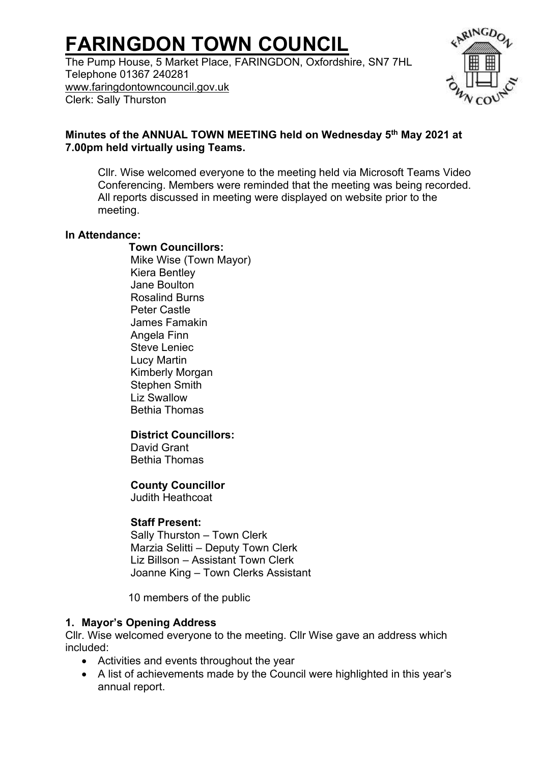# **FARINGDON TOWN COUNCIL**

The Pump House, 5 Market Place, FARINGDON, Oxfordshire, SN7 7HL Telephone 01367 240281 [www.faringdontowncouncil.gov.uk](http://www.faringdontowncouncil.gov.uk/) Clerk: Sally Thurston



## **Minutes of the ANNUAL TOWN MEETING held on Wednesday 5th May 2021 at 7.00pm held virtually using Teams.**

Cllr. Wise welcomed everyone to the meeting held via Microsoft Teams Video Conferencing. Members were reminded that the meeting was being recorded. All reports discussed in meeting were displayed on website prior to the meeting.

#### **In Attendance:**

# **Town Councillors:**

Mike Wise (Town Mayor) Kiera Bentley Jane Boulton Rosalind Burns Peter Castle James Famakin Angela Finn Steve Leniec Lucy Martin Kimberly Morgan Stephen Smith Liz Swallow Bethia Thomas

#### **District Councillors:**

David Grant Bethia Thomas

## **County Councillor**

Judith Heathcoat

#### **Staff Present:**

Sally Thurston – Town Clerk Marzia Selitti – Deputy Town Clerk Liz Billson – Assistant Town Clerk Joanne King – Town Clerks Assistant

10 members of the public

#### **1. Mayor's Opening Address**

Cllr. Wise welcomed everyone to the meeting. Cllr Wise gave an address which included:

- Activities and events throughout the year
- A list of achievements made by the Council were highlighted in this year's annual report.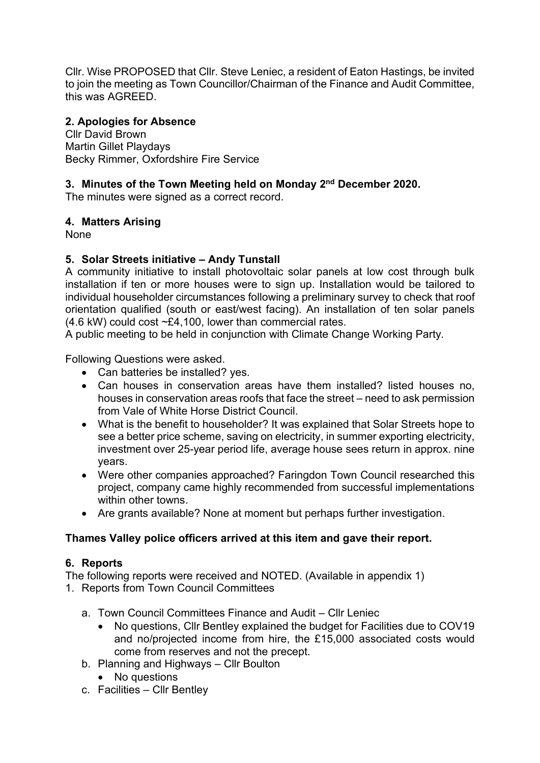Cllr. Wise PROPOSED that Cllr. Steve Leniec, a resident of Eaton Hastings, be invited to join the meeting as Town Councillor/Chairman of the Finance and Audit Committee, this was AGREED.

## **2. Apologies for Absence**

Cllr David Brown Martin Gillet Playdays Becky Rimmer, Oxfordshire Fire Service

## **3. Minutes of the Town Meeting held on Monday 2nd December 2020.**

The minutes were signed as a correct record.

## **4. Matters Arising**

None

## **5. Solar Streets initiative – Andy Tunstall**

A community initiative to install photovoltaic solar panels at low cost through bulk installation if ten or more houses were to sign up. Installation would be tailored to individual householder circumstances following a preliminary survey to check that roof orientation qualified (south or east/west facing). An installation of ten solar panels (4.6 kW) could cost ~£4,100, lower than commercial rates.

A public meeting to be held in conjunction with Climate Change Working Party.

Following Questions were asked.

- Can batteries be installed? yes.
- Can houses in conservation areas have them installed? listed houses no, houses in conservation areas roofs that face the street – need to ask permission from Vale of White Horse District Council.
- What is the benefit to householder? It was explained that Solar Streets hope to see a better price scheme, saving on electricity, in summer exporting electricity, investment over 25-year period life, average house sees return in approx. nine years.
- Were other companies approached? Faringdon Town Council researched this project, company came highly recommended from successful implementations within other towns.
- Are grants available? None at moment but perhaps further investigation.

# **Thames Valley police officers arrived at this item and gave their report.**

## **6. Reports**

The following reports were received and NOTED. (Available in appendix 1)

- 1. Reports from Town Council Committees
	- a. Town Council Committees Finance and Audit Cllr Leniec
		- No questions, Cllr Bentley explained the budget for Facilities due to COV19 and no/projected income from hire, the £15,000 associated costs would come from reserves and not the precept.
	- b. Planning and Highways Cllr Boulton
		- No questions
	- c. Facilities Cllr Bentley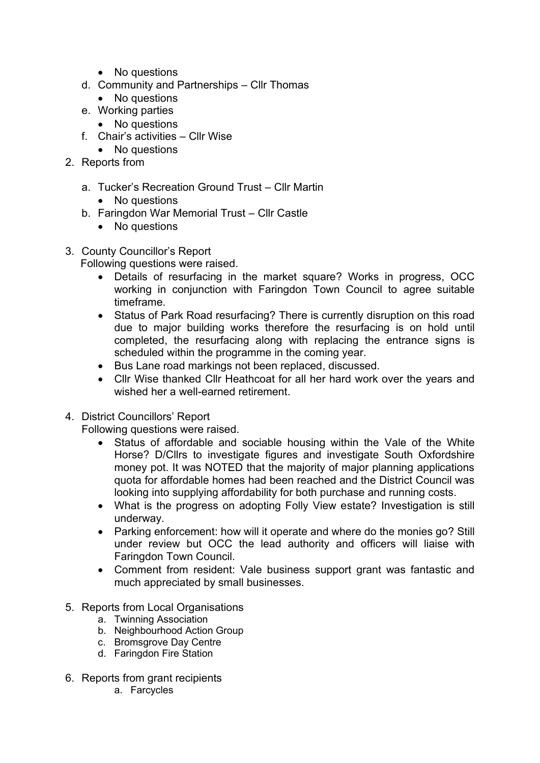- No questions
- d. Community and Partnerships Cllr Thomas
	- No questions
- e. Working parties
	- No questions
- f. Chair's activities Cllr Wise
	- No questions
- 2. Reports from
	- a. Tucker's Recreation Ground Trust Cllr Martin
		- No questions
	- b. Faringdon War Memorial Trust Cllr Castle
		- No questions
- 3. County Councillor's Report
	- Following questions were raised.
		- Details of resurfacing in the market square? Works in progress, OCC working in conjunction with Faringdon Town Council to agree suitable timeframe.
		- Status of Park Road resurfacing? There is currently disruption on this road due to major building works therefore the resurfacing is on hold until completed, the resurfacing along with replacing the entrance signs is scheduled within the programme in the coming year.
		- Bus Lane road markings not been replaced, discussed.
		- Cllr Wise thanked Cllr Heathcoat for all her hard work over the years and wished her a well-earned retirement.
- 4. District Councillors' Report

Following questions were raised.

- Status of affordable and sociable housing within the Vale of the White Horse? D/Cllrs to investigate figures and investigate South Oxfordshire money pot. It was NOTED that the majority of major planning applications quota for affordable homes had been reached and the District Council was looking into supplying affordability for both purchase and running costs.
- What is the progress on adopting Folly View estate? Investigation is still underway.
- Parking enforcement: how will it operate and where do the monies go? Still under review but OCC the lead authority and officers will liaise with Faringdon Town Council.
- Comment from resident: Vale business support grant was fantastic and much appreciated by small businesses.
- 5. Reports from Local Organisations
	- a. Twinning Association
	- b. Neighbourhood Action Group
	- c. Bromsgrove Day Centre
	- d. Faringdon Fire Station
- 6. Reports from grant recipients
	- a. Farcycles